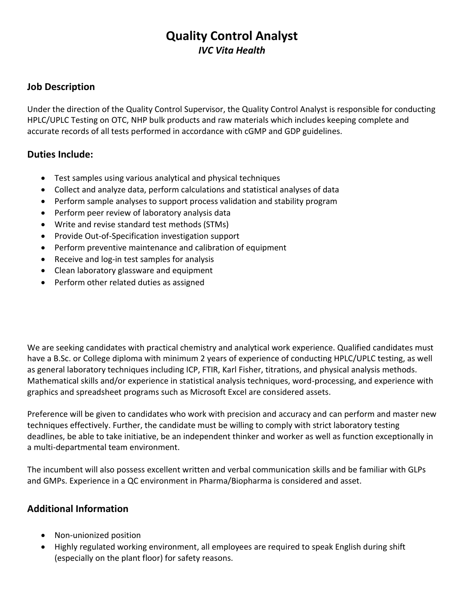## **Quality Control Analyst** *IVC Vita Health*

## **Job Description**

Under the direction of the Quality Control Supervisor, the Quality Control Analyst is responsible for conducting HPLC/UPLC Testing on OTC, NHP bulk products and raw materials which includes keeping complete and accurate records of all tests performed in accordance with cGMP and GDP guidelines.

## **Duties Include:**

- Test samples using various analytical and physical techniques
- Collect and analyze data, perform calculations and statistical analyses of data
- Perform sample analyses to support process validation and stability program
- Perform peer review of laboratory analysis data
- Write and revise standard test methods (STMs)
- Provide Out-of-Specification investigation support
- Perform preventive maintenance and calibration of equipment
- Receive and log-in test samples for analysis
- Clean laboratory glassware and equipment
- Perform other related duties as assigned

We are seeking candidates with practical chemistry and analytical work experience. Qualified candidates must have a B.Sc. or College diploma with minimum 2 years of experience of conducting HPLC/UPLC testing, as well as general laboratory techniques including ICP, FTIR, Karl Fisher, titrations, and physical analysis methods. Mathematical skills and/or experience in statistical analysis techniques, word-processing, and experience with graphics and spreadsheet programs such as Microsoft Excel are considered assets.

Preference will be given to candidates who work with precision and accuracy and can perform and master new techniques effectively. Further, the candidate must be willing to comply with strict laboratory testing deadlines, be able to take initiative, be an independent thinker and worker as well as function exceptionally in a multi-departmental team environment.

The incumbent will also possess excellent written and verbal communication skills and be familiar with GLPs and GMPs. Experience in a QC environment in Pharma/Biopharma is considered and asset.

## **Additional Information**

- Non-unionized position
- Highly regulated working environment, all employees are required to speak English during shift (especially on the plant floor) for safety reasons.